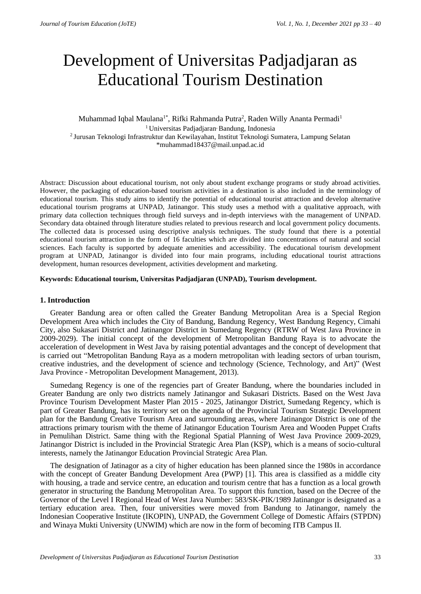# Development of Universitas Padjadjaran as Educational Tourism Destination

# Muhammad Iqbal Maulana<sup>1\*</sup>, Rifki Rahmanda Putra<sup>2</sup>, Raden Willy Ananta Permadi<sup>1</sup> <sup>1</sup> Universitas Padjadjaran<sup>,</sup> Bandung, Indonesia <sup>2</sup>Jurusan Teknologi Infrastruktur dan Kewilayahan, Institut Teknologi Sumatera, Lampung Selatan \*muhammad18437@mail.unpad.ac.id

Abstract: Discussion about educational tourism, not only about student exchange programs or study abroad activities. However, the packaging of education-based tourism activities in a destination is also included in the terminology of educational tourism. This study aims to identify the potential of educational tourist attraction and develop alternative educational tourism programs at UNPAD, Jatinangor. This study uses a method with a qualitative approach, with primary data collection techniques through field surveys and in-depth interviews with the management of UNPAD. Secondary data obtained through literature studies related to previous research and local government policy documents. The collected data is processed using descriptive analysis techniques. The study found that there is a potential educational tourism attraction in the form of 16 faculties which are divided into concentrations of natural and social sciences. Each faculty is supported by adequate amenities and accessibility. The educational tourism development program at UNPAD, Jatinangor is divided into four main programs, including educational tourist attractions development, human resources development, activities development and marketing.

# **Keywords: Educational tourism, Universitas Padjadjaran (UNPAD), Tourism development.**

## **1. Introduction**

Greater Bandung area or often called the Greater Bandung Metropolitan Area is a Special Region Development Area which includes the City of Bandung, Bandung Regency, West Bandung Regency, Cimahi City, also Sukasari District and Jatinangor District in Sumedang Regency (RTRW of West Java Province in 2009-2029). The initial concept of the development of Metropolitan Bandung Raya is to advocate the acceleration of development in West Java by raising potential advantages and the concept of development that is carried out "Metropolitan Bandung Raya as a modern metropolitan with leading sectors of urban tourism, creative industries, and the development of science and technology (Science, Technology, and Art)" (West Java Province - Metropolitan Development Management, 2013).

Sumedang Regency is one of the regencies part of Greater Bandung, where the boundaries included in Greater Bandung are only two districts namely Jatinangor and Sukasari Districts. Based on the West Java Province Tourism Development Master Plan 2015 - 2025, Jatinangor District, Sumedang Regency, which is part of Greater Bandung, has its territory set on the agenda of the Provincial Tourism Strategic Development plan for the Bandung Creative Tourism Area and surrounding areas, where Jatinangor District is one of the attractions primary tourism with the theme of Jatinangor Education Tourism Area and Wooden Puppet Crafts in Pemulihan District. Same thing with the Regional Spatial Planning of West Java Province 2009-2029, Jatinangor District is included in the Provincial Strategic Area Plan (KSP), which is a means of socio-cultural interests, namely the Jatinangor Education Provincial Strategic Area Plan.

The designation of Jatinagor as a city of higher education has been planned since the 1980s in accordance with the concept of Greater Bandung Development Area (PWP) [1]. This area is classified as a middle city with housing, a trade and service centre, an education and tourism centre that has a function as a local growth generator in structuring the Bandung Metropolitan Area. To support this function, based on the Decree of the Governor of the Level I Regional Head of West Java Number: 583/SK-PIK/1989 Jatinangor is designated as a tertiary education area. Then, four universities were moved from Bandung to Jatinangor, namely the Indonesian Cooperative Institute (IKOPIN), UNPAD, the Government College of Domestic Affairs (STPDN) and Winaya Mukti University (UNWIM) which are now in the form of becoming ITB Campus II.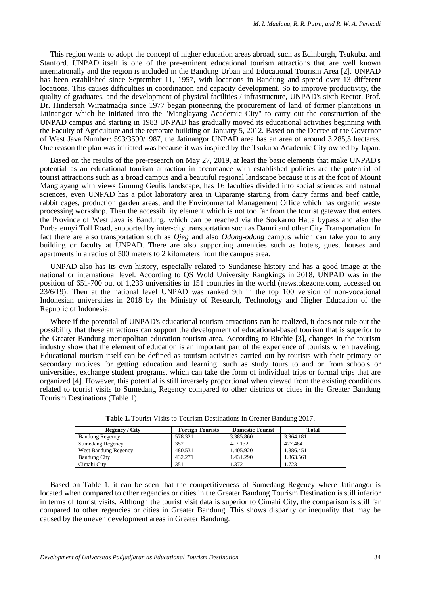This region wants to adopt the concept of higher education areas abroad, such as Edinburgh, Tsukuba, and Stanford. UNPAD itself is one of the pre-eminent educational tourism attractions that are well known internationally and the region is included in the Bandung Urban and Educational Tourism Area [2]. UNPAD has been established since September 11, 1957, with locations in Bandung and spread over 13 different locations. This causes difficulties in coordination and capacity development. So to improve productivity, the quality of graduates, and the development of physical facilities / infrastructure, UNPAD's sixth Rector, Prof. Dr. Hindersah Wiraatmadja since 1977 began pioneering the procurement of land of former plantations in Jatinangor which he initiated into the "Manglayang Academic City" to carry out the construction of the UNPAD campus and starting in 1983 UNPAD has gradually moved its educational activities beginning with the Faculty of Agriculture and the rectorate building on January 5, 2012. Based on the Decree of the Governor of West Java Number: 593/3590/1987, the Jatinangor UNPAD area has an area of around 3.285,5 hectares. One reason the plan was initiated was because it was inspired by the Tsukuba Academic City owned by Japan.

Based on the results of the pre-research on May 27, 2019, at least the basic elements that make UNPAD's potential as an educational tourism attraction in accordance with established policies are the potential of tourist attractions such as a broad campus and a beautiful regional landscape because it is at the foot of Mount Manglayang with views Gunung Geulis landscape, has 16 faculties divided into social sciences and natural sciences, even UNPAD has a pilot laboratory area in Ciparanje starting from dairy farms and beef cattle, rabbit cages, production garden areas, and the Environmental Management Office which has organic waste processing workshop. Then the accessibility element which is not too far from the tourist gateway that enters the Province of West Java is Bandung, which can be reached via the Soekarno Hatta bypass and also the Purbaleunyi Toll Road, supported by inter-city transportation such as Damri and other City Transportation. In fact there are also transportation such as *Ojeg* and also *Odong-odong* campus which can take you to any building or faculty at UNPAD. There are also supporting amenities such as hotels, guest houses and apartments in a radius of 500 meters to 2 kilometers from the campus area.

UNPAD also has its own history, especially related to Sundanese history and has a good image at the national or international level. According to QS Wold University Rangkings in 2018, UNPAD was in the position of 651-700 out of 1,233 universities in 151 countries in the world (news.okezone.com, accessed on 23/6/19). Then at the national level UNPAD was ranked 9th in the top 100 version of non-vocational Indonesian universities in 2018 by the Ministry of Research, Technology and Higher Education of the Republic of Indonesia.

Where if the potential of UNPAD's educational tourism attractions can be realized, it does not rule out the possibility that these attractions can support the development of educational-based tourism that is superior to the Greater Bandung metropolitan education tourism area. According to Ritchie [3], changes in the tourism industry show that the element of education is an important part of the experience of tourists when traveling. Educational tourism itself can be defined as tourism activities carried out by tourists with their primary or secondary motives for getting education and learning, such as study tours to and or from schools or universities, exchange student programs, which can take the form of individual trips or formal trips that are organized [4]. However, this potential is still inversely proportional when viewed from the existing conditions related to tourist visits to Sumedang Regency compared to other districts or cities in the Greater Bandung Tourism Destinations (Table 1).

| <b>Regency</b> / City  | <b>Foreign Tourists</b> | <b>Domestic Tourist</b> | <b>Total</b> |
|------------------------|-------------------------|-------------------------|--------------|
| <b>Bandung Regency</b> | 578.321                 | 3.385.860               | 3.964.181    |
| Sumedang Regency       | 352                     | 427.132                 | 427.484      |
| West Bandung Regency   | 480.531                 | 1.405.920               | 1.886.451    |
| <b>Bandung City</b>    | 432.271                 | 1.431.290               | 1.863.561    |
| Cimahi Citv            | 351                     | .372                    | . 723        |

**Table 1.** Tourist Visits to Tourism Destinations in Greater Bandung 2017.

Based on Table 1, it can be seen that the competitiveness of Sumedang Regency where Jatinangor is located when compared to other regencies or cities in the Greater Bandung Tourism Destination is still inferior in terms of tourist visits. Although the tourist visit data is superior to Cimahi City, the comparison is still far compared to other regencies or cities in Greater Bandung. This shows disparity or inequality that may be caused by the uneven development areas in Greater Bandung.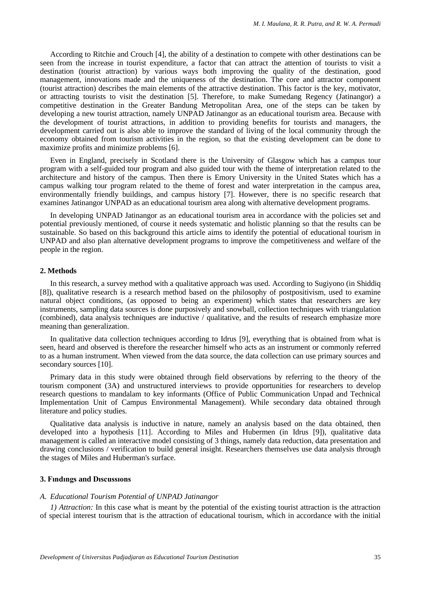According to Ritchie and Crouch [4], the ability of a destination to compete with other destinations can be seen from the increase in tourist expenditure, a factor that can attract the attention of tourists to visit a destination (tourist attraction) by various ways both improving the quality of the destination, good management, innovations made and the uniqueness of the destination. The core and attractor component (tourist attraction) describes the main elements of the attractive destination. This factor is the key, motivator, or attracting tourists to visit the destination [5]. Therefore, to make Sumedang Regency (Jatinangor) a competitive destination in the Greater Bandung Metropolitan Area, one of the steps can be taken by developing a new tourist attraction, namely UNPAD Jatinangor as an educational tourism area. Because with the development of tourist attractions, in addition to providing benefits for tourists and managers, the development carried out is also able to improve the standard of living of the local community through the economy obtained from tourism activities in the region, so that the existing development can be done to maximize profits and minimize problems [6].

Even in England, precisely in Scotland there is the University of Glasgow which has a campus tour program with a self-guided tour program and also guided tour with the theme of interpretation related to the architecture and history of the campus. Then there is Emory University in the United States which has a campus walking tour program related to the theme of forest and water interpretation in the campus area, environmentally friendly buildings, and campus history [7]. However, there is no specific research that examines Jatinangor UNPAD as an educational tourism area along with alternative development programs.

In developing UNPAD Jatinangor as an educational tourism area in accordance with the policies set and potential previously mentioned, of course it needs systematic and holistic planning so that the results can be sustainable. So based on this background this article aims to identify the potential of educational tourism in UNPAD and also plan alternative development programs to improve the competitiveness and welfare of the people in the region.

# **2. Methods**

In this research, a survey method with a qualitative approach was used. According to Sugiyono (in Shiddiq [8]), qualitative research is a research method based on the philosophy of postpositivism, used to examine natural object conditions, (as opposed to being an experiment) which states that researchers are key instruments, sampling data sources is done purposively and snowball, collection techniques with triangulation (combined), data analysis techniques are inductive / qualitative, and the results of research emphasize more meaning than generalization.

In qualitative data collection techniques according to Idrus [9], everything that is obtained from what is seen, heard and observed is therefore the researcher himself who acts as an instrument or commonly referred to as a human instrument. When viewed from the data source, the data collection can use primary sources and secondary sources [10].

Primary data in this study were obtained through field observations by referring to the theory of the tourism component (3A) and unstructured interviews to provide opportunities for researchers to develop research questions to mandalam to key informants (Office of Public Communication Unpad and Technical Implementation Unit of Campus Environmental Management). While secondary data obtained through literature and policy studies.

Qualitative data analysis is inductive in nature, namely an analysis based on the data obtained, then developed into a hypothesis [11]. According to Miles and Hubermen (in Idrus [9]), qualitative data management is called an interactive model consisting of 3 things, namely data reduction, data presentation and drawing conclusions / verification to build general insight. Researchers themselves use data analysis through the stages of Miles and Huberman's surface.

# **3. Fındıngs and Dıscussıons**

### *A. Educational Tourism Potential of UNPAD Jatinangor*

*1) Attraction:* In this case what is meant by the potential of the existing tourist attraction is the attraction of special interest tourism that is the attraction of educational tourism, which in accordance with the initial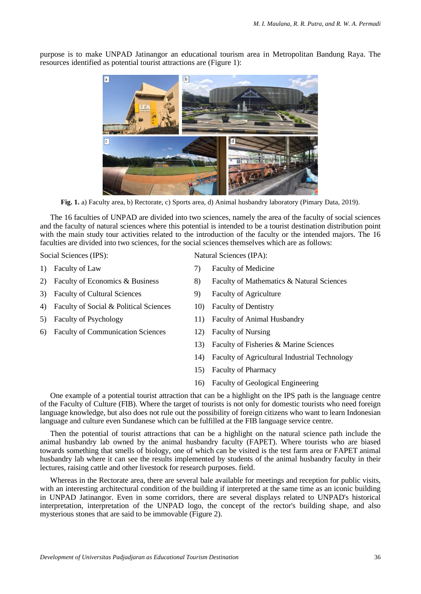$|a|$ b

purpose is to make UNPAD Jatinangor an educational tourism area in Metropolitan Bandung Raya. The resources identified as potential tourist attractions are (Figure 1):

**Fig. 1.** a) Faculty area, b) Rectorate, c) Sports area, d) Animal husbandry laboratory (Pimary Data, 2019).

The 16 faculties of UNPAD are divided into two sciences, namely the area of the faculty of social sciences and the faculty of natural sciences where this potential is intended to be a tourist destination distribution point with the main study tour activities related to the introduction of the faculty or the intended majors. The 16 faculties are divided into two sciences, for the social sciences themselves which are as follows:

Social Sciences (IPS): Natural Sciences (IPA):

- 
- 3) Faculty of Cultural Sciences 9) Faculty of Agriculture
- 4) Faculty of Social & Political Sciences 10) Faculty of Dentistry
- 
- 6) Faculty of Communication Sciences 12) Faculty of Nursing

- 1) Faculty of Law 7) Faculty of Medicine
- 2) Faculty of Economics & Business 8) Faculty of Mathematics & Natural Sciences
	-
	-
- 5) Faculty of Psychology 11) Faculty of Animal Husbandry
	-
	- 13) Faculty of Fisheries & Marine Sciences
	- 14) Faculty of Agricultural Industrial Technology
	- 15) Faculty of Pharmacy
	- 16) Faculty of Geological Engineering

One example of a potential tourist attraction that can be a highlight on the IPS path is the language centre of the Faculty of Culture (FIB). Where the target of tourists is not only for domestic tourists who need foreign language knowledge, but also does not rule out the possibility of foreign citizens who want to learn Indonesian language and culture even Sundanese which can be fulfilled at the FIB language service centre.

Then the potential of tourist attractions that can be a highlight on the natural science path include the animal husbandry lab owned by the animal husbandry faculty (FAPET). Where tourists who are biased towards something that smells of biology, one of which can be visited is the test farm area or FAPET animal husbandry lab where it can see the results implemented by students of the animal husbandry faculty in their lectures, raising cattle and other livestock for research purposes. field.

Whereas in the Rectorate area, there are several bale available for meetings and reception for public visits, with an interesting architectural condition of the building if interpreted at the same time as an iconic building in UNPAD Jatinangor. Even in some corridors, there are several displays related to UNPAD's historical interpretation, interpretation of the UNPAD logo, the concept of the rector's building shape, and also mysterious stones that are said to be immovable (Figure 2).

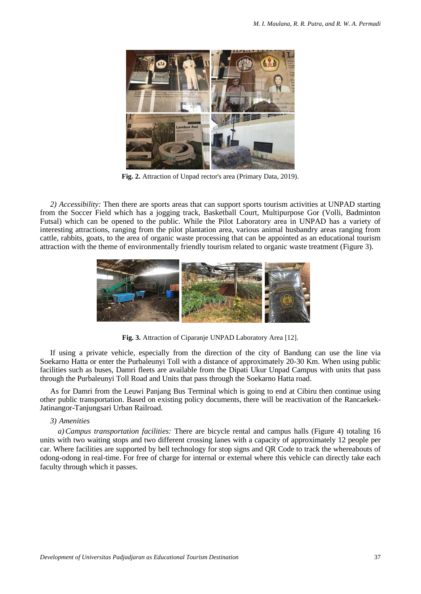

**Fig. 2.** Attraction of Unpad rector's area (Primary Data, 2019).

*2) Accessibility:* Then there are sports areas that can support sports tourism activities at UNPAD starting from the Soccer Field which has a jogging track, Basketball Court, Multipurpose Gor (Volli, Badminton Futsal) which can be opened to the public. While the Pilot Laboratory area in UNPAD has a variety of interesting attractions, ranging from the pilot plantation area, various animal husbandry areas ranging from cattle, rabbits, goats, to the area of organic waste processing that can be appointed as an educational tourism attraction with the theme of environmentally friendly tourism related to organic waste treatment (Figure 3).



**Fig. 3.** Attraction of Ciparanje UNPAD Laboratory Area [12].

If using a private vehicle, especially from the direction of the city of Bandung can use the line via Soekarno Hatta or enter the Purbaleunyi Toll with a distance of approximately 20-30 Km. When using public facilities such as buses, Damri fleets are available from the Dipati Ukur Unpad Campus with units that pass through the Purbaleunyi Toll Road and Units that pass through the Soekarno Hatta road.

As for Damri from the Leuwi Panjang Bus Terminal which is going to end at Cibiru then continue using other public transportation. Based on existing policy documents, there will be reactivation of the Rancaekek-Jatinangor-Tanjungsari Urban Railroad.

# *3) Amenities*

*a)Campus transportation facilities:* There are bicycle rental and campus halls (Figure 4) totaling 16 units with two waiting stops and two different crossing lanes with a capacity of approximately 12 people per car. Where facilities are supported by bell technology for stop signs and QR Code to track the whereabouts of odong-odong in real-time. For free of charge for internal or external where this vehicle can directly take each faculty through which it passes.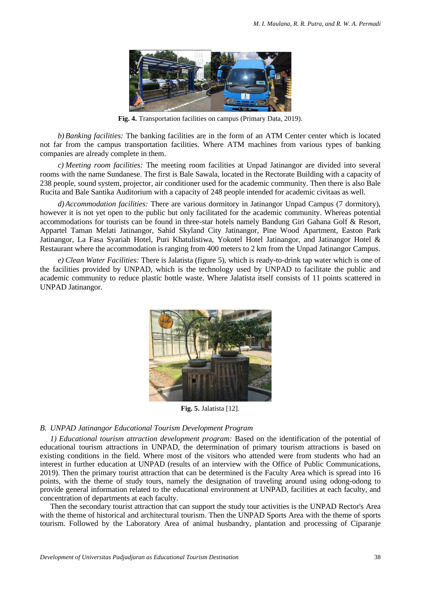

**Fig. 4.** Transportation facilities on campus (Primary Data, 2019).

*b)Banking facilities:* The banking facilities are in the form of an ATM Center center which is located not far from the campus transportation facilities. Where ATM machines from various types of banking companies are already complete in them.

*c) Meeting room facilities:* The meeting room facilities at Unpad Jatinangor are divided into several rooms with the name Sundanese. The first is Bale Sawala, located in the Rectorate Building with a capacity of 238 people, sound system, projector, air conditioner used for the academic community. Then there is also Bale Rucita and Bale Santika Auditorium with a capacity of 248 people intended for academic civitaas as well.

*d)Accommodation facilities:* There are various dormitory in Jatinangor Unpad Campus (7 dormitory), however it is not yet open to the public but only facilitated for the academic community. Whereas potential accommodations for tourists can be found in three-star hotels namely Bandung Giri Gahana Golf & Resort, Appartel Taman Melati Jatinangor, Sahid Skyland City Jatinangor, Pine Wood Apartment, Easton Park Jatinangor, La Fasa Syariah Hotel, Puri Khatulistiwa, Yokotel Hotel Jatinangor, and Jatinangor Hotel & Restaurant where the accommodation is ranging from 400 meters to 2 km from the Unpad Jatinangor Campus.

*e) Clean Water Facilities:* There is Jalatista (figure 5), which is ready-to-drink tap water which is one of the facilities provided by UNPAD, which is the technology used by UNPAD to facilitate the public and academic community to reduce plastic bottle waste. Where Jalatista itself consists of 11 points scattered in UNPAD Jatinangor.



**Fig. 5.** Jalatista [12].

# *B. UNPAD Jatinangor Educational Tourism Development Program*

*1) Educational tourism attraction development program:* Based on the identification of the potential of educational tourism attractions in UNPAD, the determination of primary tourism attractions is based on existing conditions in the field. Where most of the visitors who attended were from students who had an interest in further education at UNPAD (results of an interview with the Office of Public Communications, 2019). Then the primary tourist attraction that can be determined is the Faculty Area which is spread into 16 points, with the theme of study tours, namely the designation of traveling around using odong-odong to provide general information related to the educational environment at UNPAD, facilities at each faculty, and concentration of departments at each faculty.

Then the secondary tourist attraction that can support the study tour activities is the UNPAD Rector's Area with the theme of historical and architectural tourism. Then the UNPAD Sports Area with the theme of sports tourism. Followed by the Laboratory Area of animal husbandry, plantation and processing of Ciparanje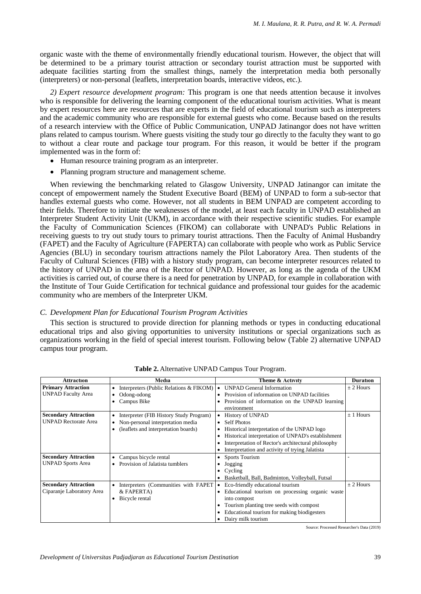organic waste with the theme of environmentally friendly educational tourism. However, the object that will be determined to be a primary tourist attraction or secondary tourist attraction must be supported with adequate facilities starting from the smallest things, namely the interpretation media both personally (interpreters) or non-personal (leaflets, interpretation boards, interactive videos, etc.).

*2) Expert resource development program:* This program is one that needs attention because it involves who is responsible for delivering the learning component of the educational tourism activities. What is meant by expert resources here are resources that are experts in the field of educational tourism such as interpreters and the academic community who are responsible for external guests who come. Because based on the results of a research interview with the Office of Public Communication, UNPAD Jatinangor does not have written plans related to campus tourism. Where guests visiting the study tour go directly to the faculty they want to go to without a clear route and package tour program. For this reason, it would be better if the program implemented was in the form of:

- Human resource training program as an interpreter.
- Planning program structure and management scheme.

When reviewing the benchmarking related to Glasgow University, UNPAD Jatinangor can imitate the concept of empowerment namely the Student Executive Board (BEM) of UNPAD to form a sub-sector that handles external guests who come. However, not all students in BEM UNPAD are competent according to their fields. Therefore to initiate the weaknesses of the model, at least each faculty in UNPAD established an Interpreter Student Activity Unit (UKM), in accordance with their respective scientific studies. For example the Faculty of Communication Sciences (FIKOM) can collaborate with UNPAD's Public Relations in receiving guests to try out study tours to primary tourist attractions. Then the Faculty of Animal Husbandry (FAPET) and the Faculty of Agriculture (FAPERTA) can collaborate with people who work as Public Service Agencies (BLU) in secondary tourism attractions namely the Pilot Laboratory Area. Then students of the Faculty of Cultural Sciences (FIB) with a history study program, can become interpreter resources related to the history of UNPAD in the area of the Rector of UNPAD. However, as long as the agenda of the UKM activities is carried out, of course there is a need for penetration by UNPAD, for example in collaboration with the Institute of Tour Guide Certification for technical guidance and professional tour guides for the academic community who are members of the Interpreter UKM.

# *C. Development Plan for Educational Tourism Program Activities*

This section is structured to provide direction for planning methods or types in conducting educational educational trips and also giving opportunities to university institutions or special organizations such as organizations working in the field of special interest tourism. Following below (Table 2) alternative UNPAD campus tour program.

| <b>Attraction</b>           | Media                                                       | Theme & Activity                                              | <b>Duration</b> |
|-----------------------------|-------------------------------------------------------------|---------------------------------------------------------------|-----------------|
| <b>Primary Attraction</b>   | Interpreters (Public Relations & FIKOM)                     | <b>UNPAD General Information</b><br>$\bullet$                 | $\pm$ 2 Hours   |
| <b>UNPAD Faculty Area</b>   | Provision of information on UNPAD facilities<br>Odong-odong |                                                               |                 |
|                             | Campus Bike                                                 | Provision of information on the UNPAD learning<br>environment |                 |
| <b>Secondary Attraction</b> | Interpreter (FIB History Study Program)                     | <b>History of UNPAD</b><br>$\bullet$                          | $\pm$ 1 Hours   |
| <b>UNPAD Rectorate Area</b> | Non-personal interpretation media                           | <b>Self Photos</b><br>$\bullet$                               |                 |
|                             | (leaflets and interpretation boards)                        | Historical interpretation of the UNPAD logo                   |                 |
|                             |                                                             | Historical interpretation of UNPAD's establishment            |                 |
|                             |                                                             | Interpretation of Rector's architectural philosophy           |                 |
|                             |                                                             | Interpretation and activity of trying Jalatista               |                 |
| <b>Secondary Attraction</b> | Campus bicycle rental                                       | <b>Sports Tourism</b><br>$\bullet$                            |                 |
| <b>UNPAD Sports Area</b>    | Provision of Jalatista tumblers                             | Jogging<br>٠                                                  |                 |
|                             |                                                             | Cycling<br>٠                                                  |                 |
|                             |                                                             | Basketball, Ball, Badminton, Volleyball, Futsal               |                 |
| <b>Secondary Attraction</b> | Interpreters (Communities with FAPET                        | Eco-friendly educational tourism<br>$\bullet$                 | $\pm$ 2 Hours   |
| Ciparanje Laboratory Area   | & FAPERTA)                                                  | Educational tourism on processing organic waste               |                 |
|                             | Bicycle rental<br>$\bullet$                                 | into compost                                                  |                 |
|                             |                                                             | Tourism planting tree seeds with compost                      |                 |
|                             |                                                             | Educational tourism for making biodigesters                   |                 |
|                             |                                                             | Dairy milk tourism                                            |                 |

**Table 2.** Alternative UNPAD Campus Tour Program.

Source: Processed Researcher's Data (2019)